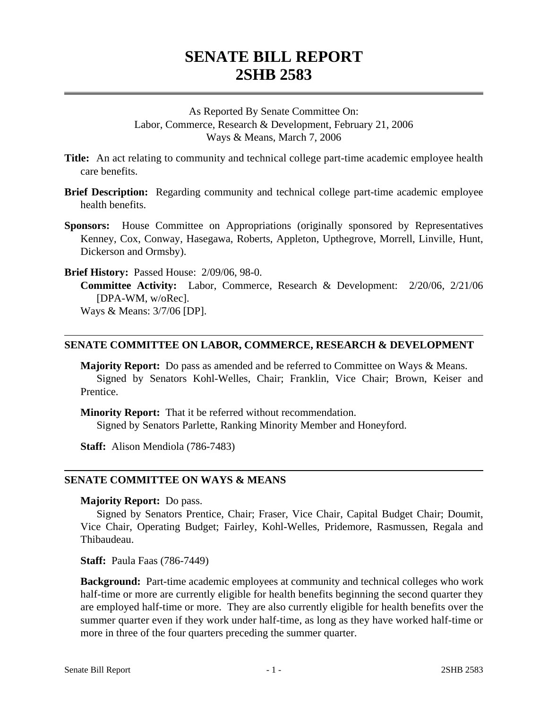# **SENATE BILL REPORT 2SHB 2583**

As Reported By Senate Committee On: Labor, Commerce, Research & Development, February 21, 2006 Ways & Means, March 7, 2006

- **Title:** An act relating to community and technical college part-time academic employee health care benefits.
- **Brief Description:** Regarding community and technical college part-time academic employee health benefits.
- **Sponsors:** House Committee on Appropriations (originally sponsored by Representatives Kenney, Cox, Conway, Hasegawa, Roberts, Appleton, Upthegrove, Morrell, Linville, Hunt, Dickerson and Ormsby).

**Brief History:** Passed House: 2/09/06, 98-0.

**Committee Activity:** Labor, Commerce, Research & Development: 2/20/06, 2/21/06 [DPA-WM, w/oRec].

Ways & Means: 3/7/06 [DP].

### **SENATE COMMITTEE ON LABOR, COMMERCE, RESEARCH & DEVELOPMENT**

**Majority Report:** Do pass as amended and be referred to Committee on Ways & Means. Signed by Senators Kohl-Welles, Chair; Franklin, Vice Chair; Brown, Keiser and Prentice.

**Minority Report:** That it be referred without recommendation. Signed by Senators Parlette, Ranking Minority Member and Honeyford.

**Staff:** Alison Mendiola (786-7483)

### **SENATE COMMITTEE ON WAYS & MEANS**

#### **Majority Report:** Do pass.

Signed by Senators Prentice, Chair; Fraser, Vice Chair, Capital Budget Chair; Doumit, Vice Chair, Operating Budget; Fairley, Kohl-Welles, Pridemore, Rasmussen, Regala and Thibaudeau.

**Staff:** Paula Faas (786-7449)

**Background:** Part-time academic employees at community and technical colleges who work half-time or more are currently eligible for health benefits beginning the second quarter they are employed half-time or more. They are also currently eligible for health benefits over the summer quarter even if they work under half-time, as long as they have worked half-time or more in three of the four quarters preceding the summer quarter.